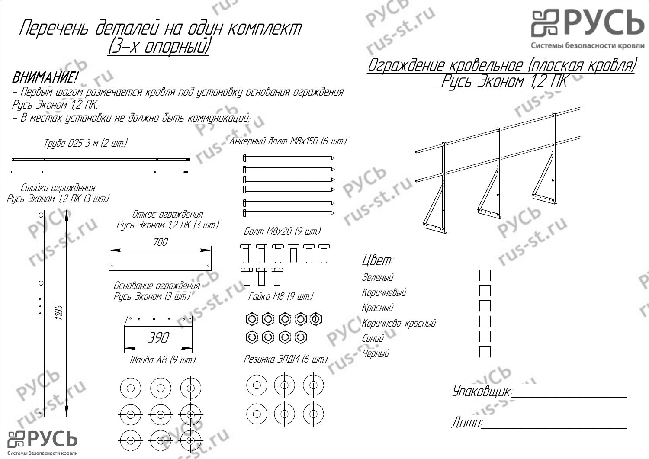